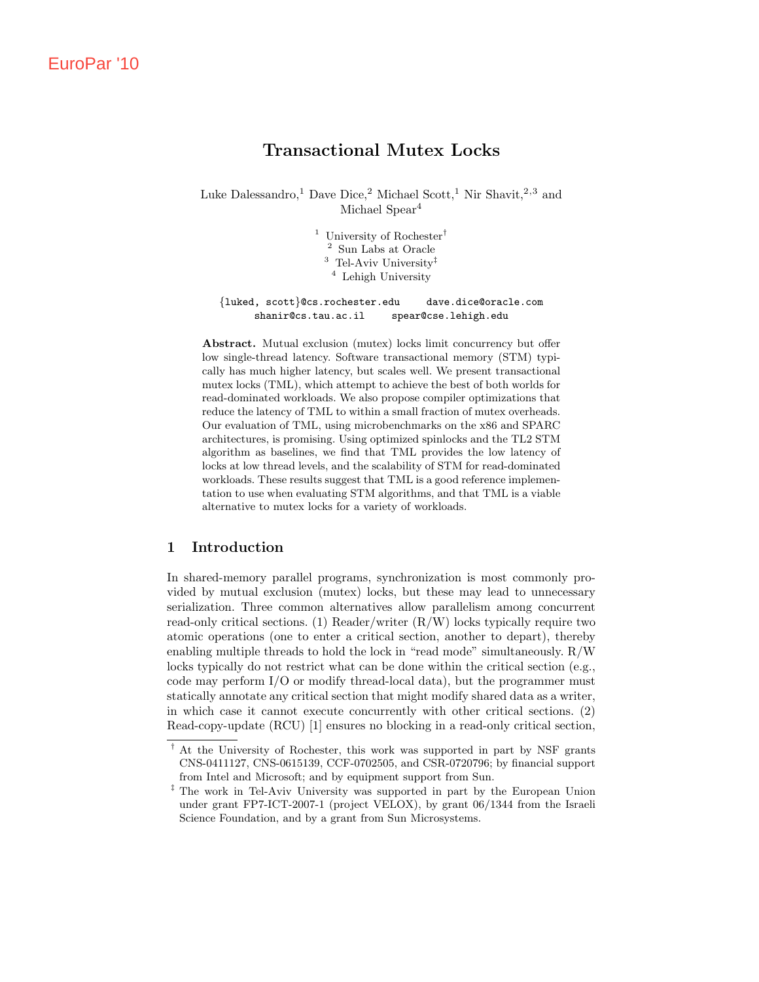# Transactional Mutex Locks

Luke Dalessandro,<sup>1</sup> Dave Dice,<sup>2</sup> Michael Scott,<sup>1</sup> Nir Shavit,<sup>2,3</sup> and Michael Spear<sup>4</sup>

> <sup>1</sup> University of Rochester<sup>†</sup> <sup>2</sup> Sun Labs at Oracle <sup>3</sup> Tel-Aviv University<sup>‡</sup> <sup>4</sup> Lehigh University

{luked, scott}@cs.rochester.edu dave.dice@oracle.com shanir@cs.tau.ac.il spear@cse.lehigh.edu

Abstract. Mutual exclusion (mutex) locks limit concurrency but offer low single-thread latency. Software transactional memory (STM) typically has much higher latency, but scales well. We present transactional mutex locks (TML), which attempt to achieve the best of both worlds for read-dominated workloads. We also propose compiler optimizations that reduce the latency of TML to within a small fraction of mutex overheads. Our evaluation of TML, using microbenchmarks on the x86 and SPARC architectures, is promising. Using optimized spinlocks and the TL2 STM algorithm as baselines, we find that TML provides the low latency of locks at low thread levels, and the scalability of STM for read-dominated workloads. These results suggest that TML is a good reference implementation to use when evaluating STM algorithms, and that TML is a viable alternative to mutex locks for a variety of workloads.

# 1 Introduction

In shared-memory parallel programs, synchronization is most commonly provided by mutual exclusion (mutex) locks, but these may lead to unnecessary serialization. Three common alternatives allow parallelism among concurrent read-only critical sections. (1) Reader/writer (R/W) locks typically require two atomic operations (one to enter a critical section, another to depart), thereby enabling multiple threads to hold the lock in "read mode" simultaneously. R/W locks typically do not restrict what can be done within the critical section (e.g., code may perform I/O or modify thread-local data), but the programmer must statically annotate any critical section that might modify shared data as a writer, in which case it cannot execute concurrently with other critical sections. (2) Read-copy-update (RCU) [1] ensures no blocking in a read-only critical section,

<sup>†</sup> At the University of Rochester, this work was supported in part by NSF grants CNS-0411127, CNS-0615139, CCF-0702505, and CSR-0720796; by financial support from Intel and Microsoft; and by equipment support from Sun.

<sup>‡</sup> The work in Tel-Aviv University was supported in part by the European Union under grant FP7-ICT-2007-1 (project VELOX), by grant 06/1344 from the Israeli Science Foundation, and by a grant from Sun Microsystems.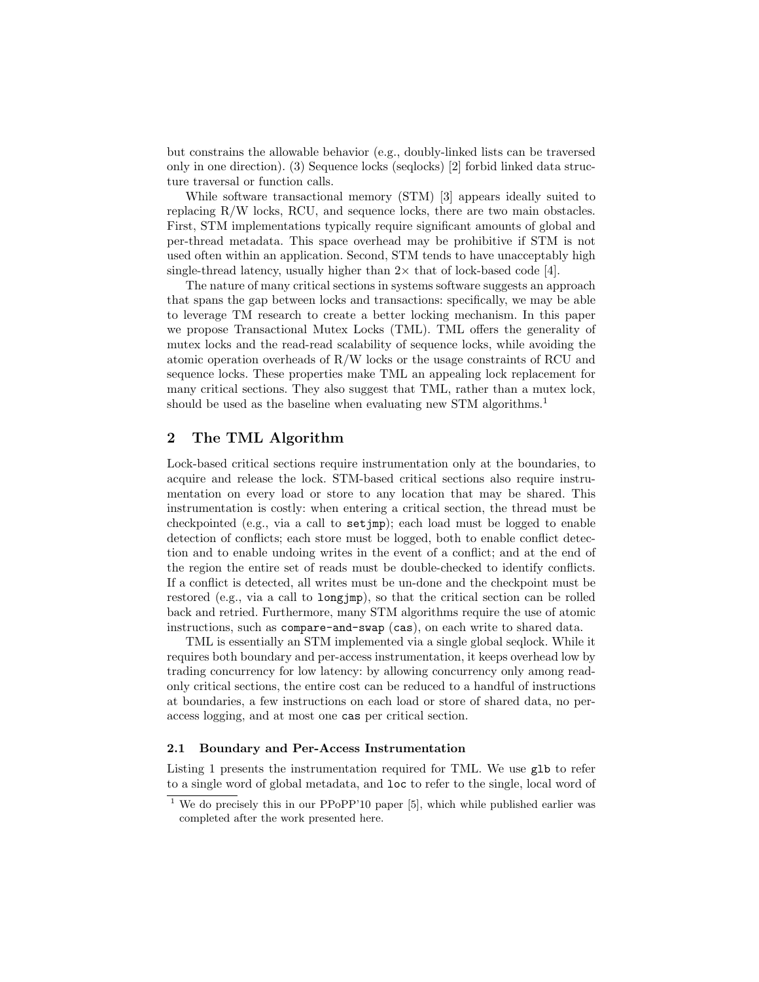but constrains the allowable behavior (e.g., doubly-linked lists can be traversed only in one direction). (3) Sequence locks (seqlocks) [2] forbid linked data structure traversal or function calls.

While software transactional memory (STM) [3] appears ideally suited to replacing  $R/W$  locks, RCU, and sequence locks, there are two main obstacles. First, STM implementations typically require significant amounts of global and per-thread metadata. This space overhead may be prohibitive if STM is not used often within an application. Second, STM tends to have unacceptably high single-thread latency, usually higher than  $2 \times$  that of lock-based code [4].

The nature of many critical sections in systems software suggests an approach that spans the gap between locks and transactions: specifically, we may be able to leverage TM research to create a better locking mechanism. In this paper we propose Transactional Mutex Locks (TML). TML offers the generality of mutex locks and the read-read scalability of sequence locks, while avoiding the atomic operation overheads of R/W locks or the usage constraints of RCU and sequence locks. These properties make TML an appealing lock replacement for many critical sections. They also suggest that TML, rather than a mutex lock, should be used as the baseline when evaluating new STM algorithms.<sup>1</sup>

# 2 The TML Algorithm

Lock-based critical sections require instrumentation only at the boundaries, to acquire and release the lock. STM-based critical sections also require instrumentation on every load or store to any location that may be shared. This instrumentation is costly: when entering a critical section, the thread must be checkpointed (e.g., via a call to setjmp); each load must be logged to enable detection of conflicts; each store must be logged, both to enable conflict detection and to enable undoing writes in the event of a conflict; and at the end of the region the entire set of reads must be double-checked to identify conflicts. If a conflict is detected, all writes must be un-done and the checkpoint must be restored (e.g., via a call to longjmp), so that the critical section can be rolled back and retried. Furthermore, many STM algorithms require the use of atomic instructions, such as compare-and-swap (cas), on each write to shared data.

TML is essentially an STM implemented via a single global seqlock. While it requires both boundary and per-access instrumentation, it keeps overhead low by trading concurrency for low latency: by allowing concurrency only among readonly critical sections, the entire cost can be reduced to a handful of instructions at boundaries, a few instructions on each load or store of shared data, no peraccess logging, and at most one cas per critical section.

### 2.1 Boundary and Per-Access Instrumentation

Listing 1 presents the instrumentation required for TML. We use glb to refer to a single word of global metadata, and loc to refer to the single, local word of

 $1$  We do precisely this in our PPoPP'10 paper [5], which while published earlier was completed after the work presented here.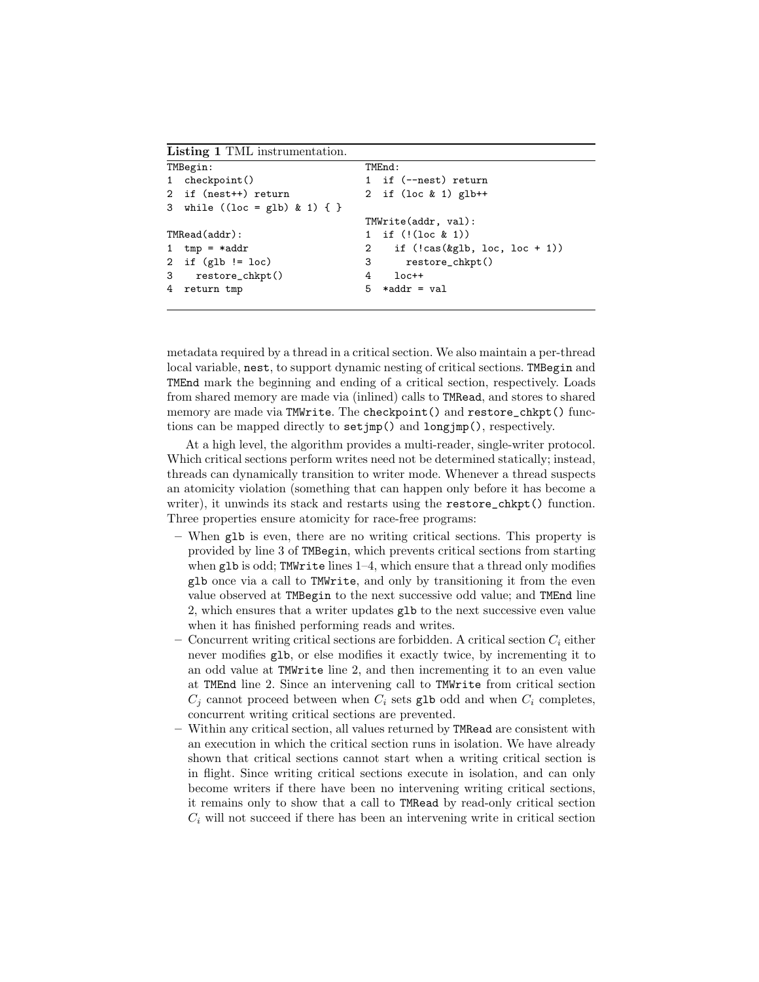Listing 1 TML instrumentation.

```
TMBegin: TMEnd:
1 checkpoint() 1 if (--nest) return
2 if (nest++) return 2 if (loc & 1) glb++
3 while ((\text{loc} = \text{glb}) \& 1) \{ \}TMWrite(addr, val):
\texttt{TMRead}(\texttt{addr}): 1 if (!(\texttt{loc } k 1))1 \text{tmp} = \text{*addr} 2 if (!cas(&glb, loc, loc + 1))
2 if (glb != loc) 3 restore_chkpt()
3 restore_chkpt() 4 loc++
4 return tmp 5 *addr = val
```
metadata required by a thread in a critical section. We also maintain a per-thread local variable, nest, to support dynamic nesting of critical sections. TMBegin and TMEnd mark the beginning and ending of a critical section, respectively. Loads from shared memory are made via (inlined) calls to TMRead, and stores to shared memory are made via TMWrite. The checkpoint () and restore\_chkpt() functions can be mapped directly to setjmp() and longjmp(), respectively.

At a high level, the algorithm provides a multi-reader, single-writer protocol. Which critical sections perform writes need not be determined statically; instead, threads can dynamically transition to writer mode. Whenever a thread suspects an atomicity violation (something that can happen only before it has become a writer), it unwinds its stack and restarts using the restore\_chkpt() function. Three properties ensure atomicity for race-free programs:

- When glb is even, there are no writing critical sections. This property is provided by line 3 of TMBegin, which prevents critical sections from starting when glb is odd; TMWrite lines 1–4, which ensure that a thread only modifies glb once via a call to TMWrite, and only by transitioning it from the even value observed at TMBegin to the next successive odd value; and TMEnd line 2, which ensures that a writer updates glb to the next successive even value when it has finished performing reads and writes.
- Concurrent writing critical sections are forbidden. A critical section  $C_i$  either never modifies glb, or else modifies it exactly twice, by incrementing it to an odd value at TMWrite line 2, and then incrementing it to an even value at TMEnd line 2. Since an intervening call to TMWrite from critical section  $C_i$  cannot proceed between when  $C_i$  sets glb odd and when  $C_i$  completes, concurrent writing critical sections are prevented.
- Within any critical section, all values returned by TMRead are consistent with an execution in which the critical section runs in isolation. We have already shown that critical sections cannot start when a writing critical section is in flight. Since writing critical sections execute in isolation, and can only become writers if there have been no intervening writing critical sections, it remains only to show that a call to TMRead by read-only critical section  $C_i$  will not succeed if there has been an intervening write in critical section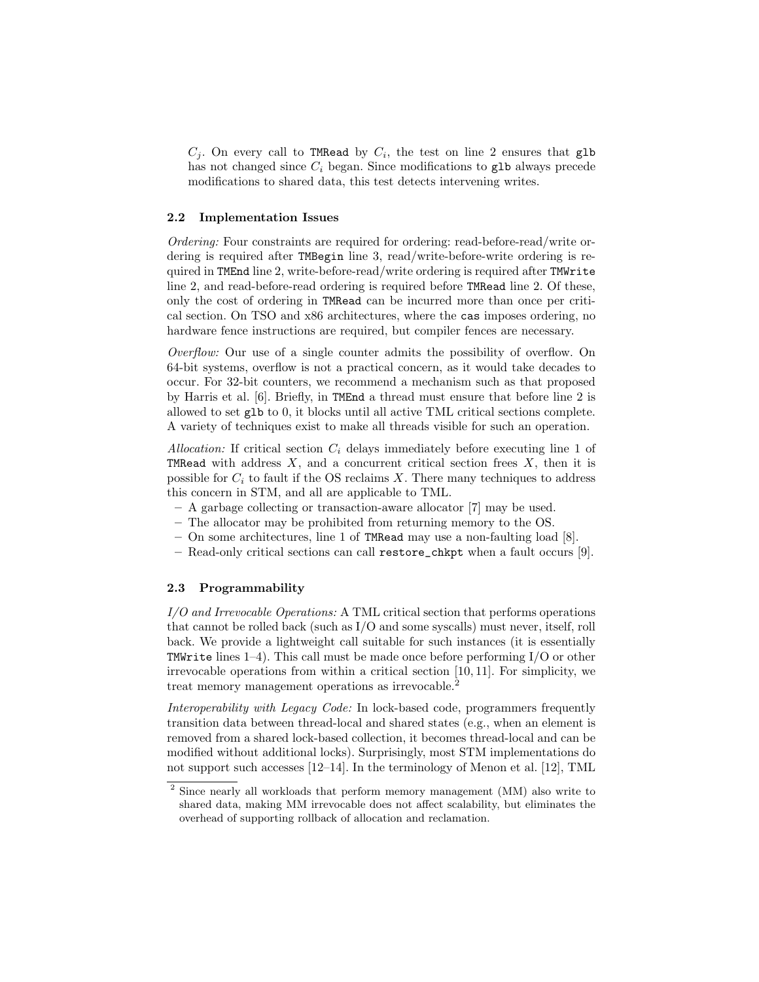$C_j$ . On every call to TMRead by  $C_i$ , the test on line 2 ensures that glb has not changed since  $C_i$  began. Since modifications to glb always precede modifications to shared data, this test detects intervening writes.

#### 2.2 Implementation Issues

Ordering: Four constraints are required for ordering: read-before-read/write ordering is required after TMBegin line 3, read/write-before-write ordering is required in TMEnd line 2, write-before-read/write ordering is required after TMWrite line 2, and read-before-read ordering is required before TMRead line 2. Of these, only the cost of ordering in TMRead can be incurred more than once per critical section. On TSO and x86 architectures, where the cas imposes ordering, no hardware fence instructions are required, but compiler fences are necessary.

Overflow: Our use of a single counter admits the possibility of overflow. On 64-bit systems, overflow is not a practical concern, as it would take decades to occur. For 32-bit counters, we recommend a mechanism such as that proposed by Harris et al. [6]. Briefly, in TMEnd a thread must ensure that before line 2 is allowed to set glb to 0, it blocks until all active TML critical sections complete. A variety of techniques exist to make all threads visible for such an operation.

Allocation: If critical section  $C_i$  delays immediately before executing line 1 of TMRead with address  $X$ , and a concurrent critical section frees  $X$ , then it is possible for  $C_i$  to fault if the OS reclaims X. There many techniques to address this concern in STM, and all are applicable to TML.

- A garbage collecting or transaction-aware allocator [7] may be used.
- The allocator may be prohibited from returning memory to the OS.
- On some architectures, line 1 of TMRead may use a non-faulting load [8].
- Read-only critical sections can call restore\_chkpt when a fault occurs [9].

### 2.3 Programmability

I/O and Irrevocable Operations: A TML critical section that performs operations that cannot be rolled back (such as I/O and some syscalls) must never, itself, roll back. We provide a lightweight call suitable for such instances (it is essentially **TMWrite** lines  $1-4$ ). This call must be made once before performing  $I/O$  or other irrevocable operations from within a critical section [10, 11]. For simplicity, we treat memory management operations as irrevocable.<sup>2</sup>

Interoperability with Legacy Code: In lock-based code, programmers frequently transition data between thread-local and shared states (e.g., when an element is removed from a shared lock-based collection, it becomes thread-local and can be modified without additional locks). Surprisingly, most STM implementations do not support such accesses [12–14]. In the terminology of Menon et al. [12], TML

<sup>2</sup> Since nearly all workloads that perform memory management (MM) also write to shared data, making MM irrevocable does not affect scalability, but eliminates the overhead of supporting rollback of allocation and reclamation.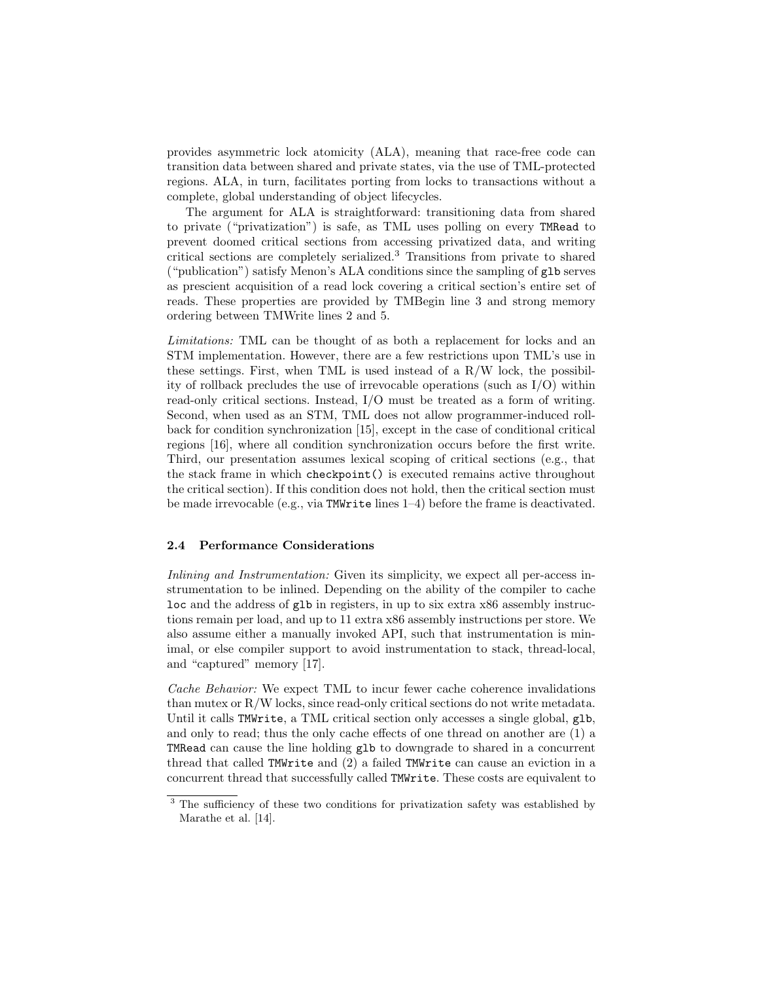provides asymmetric lock atomicity (ALA), meaning that race-free code can transition data between shared and private states, via the use of TML-protected regions. ALA, in turn, facilitates porting from locks to transactions without a complete, global understanding of object lifecycles.

The argument for ALA is straightforward: transitioning data from shared to private ("privatization") is safe, as TML uses polling on every TMRead to prevent doomed critical sections from accessing privatized data, and writing critical sections are completely serialized.<sup>3</sup> Transitions from private to shared ("publication") satisfy Menon's ALA conditions since the sampling of glb serves as prescient acquisition of a read lock covering a critical section's entire set of reads. These properties are provided by TMBegin line 3 and strong memory ordering between TMWrite lines 2 and 5.

Limitations: TML can be thought of as both a replacement for locks and an STM implementation. However, there are a few restrictions upon TML's use in these settings. First, when TML is used instead of a R/W lock, the possibility of rollback precludes the use of irrevocable operations (such as  $I/O$ ) within read-only critical sections. Instead, I/O must be treated as a form of writing. Second, when used as an STM, TML does not allow programmer-induced rollback for condition synchronization [15], except in the case of conditional critical regions [16], where all condition synchronization occurs before the first write. Third, our presentation assumes lexical scoping of critical sections (e.g., that the stack frame in which checkpoint() is executed remains active throughout the critical section). If this condition does not hold, then the critical section must be made irrevocable (e.g., via TMWrite lines 1–4) before the frame is deactivated.

### 2.4 Performance Considerations

Inlining and Instrumentation: Given its simplicity, we expect all per-access instrumentation to be inlined. Depending on the ability of the compiler to cache loc and the address of glb in registers, in up to six extra x86 assembly instructions remain per load, and up to 11 extra x86 assembly instructions per store. We also assume either a manually invoked API, such that instrumentation is minimal, or else compiler support to avoid instrumentation to stack, thread-local, and "captured" memory [17].

Cache Behavior: We expect TML to incur fewer cache coherence invalidations than mutex or R/W locks, since read-only critical sections do not write metadata. Until it calls TMWrite, a TML critical section only accesses a single global, glb, and only to read; thus the only cache effects of one thread on another are (1) a TMRead can cause the line holding glb to downgrade to shared in a concurrent thread that called TMWrite and (2) a failed TMWrite can cause an eviction in a concurrent thread that successfully called TMWrite. These costs are equivalent to

<sup>&</sup>lt;sup>3</sup> The sufficiency of these two conditions for privatization safety was established by Marathe et al. [14].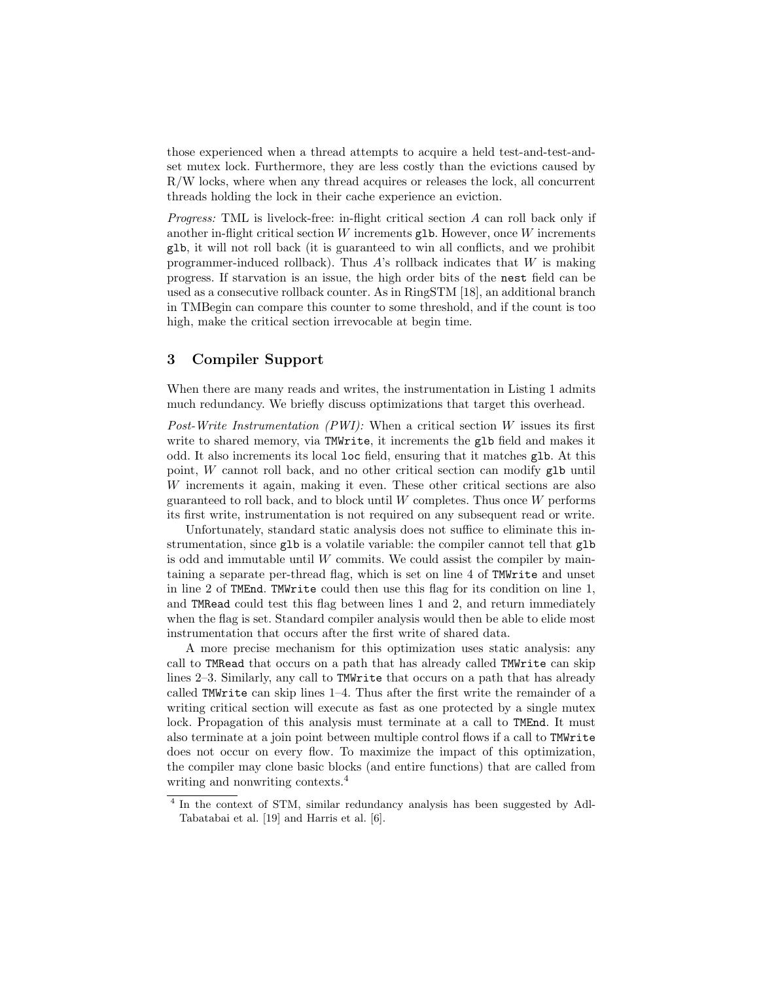those experienced when a thread attempts to acquire a held test-and-test-andset mutex lock. Furthermore, they are less costly than the evictions caused by R/W locks, where when any thread acquires or releases the lock, all concurrent threads holding the lock in their cache experience an eviction.

Progress: TML is livelock-free: in-flight critical section A can roll back only if another in-flight critical section W increments  $g1b$ . However, once W increments glb, it will not roll back (it is guaranteed to win all conflicts, and we prohibit programmer-induced rollback). Thus  $A$ 's rollback indicates that  $W$  is making progress. If starvation is an issue, the high order bits of the nest field can be used as a consecutive rollback counter. As in RingSTM [18], an additional branch in TMBegin can compare this counter to some threshold, and if the count is too high, make the critical section irrevocable at begin time.

# 3 Compiler Support

When there are many reads and writes, the instrumentation in Listing 1 admits much redundancy. We briefly discuss optimizations that target this overhead.

Post-Write Instrumentation  $(PWI)$ : When a critical section W issues its first write to shared memory, via TMWrite, it increments the glb field and makes it odd. It also increments its local loc field, ensuring that it matches glb. At this point, W cannot roll back, and no other critical section can modify glb until W increments it again, making it even. These other critical sections are also guaranteed to roll back, and to block until  $W$  completes. Thus once  $W$  performs its first write, instrumentation is not required on any subsequent read or write.

Unfortunately, standard static analysis does not suffice to eliminate this instrumentation, since glb is a volatile variable: the compiler cannot tell that glb is odd and immutable until W commits. We could assist the compiler by maintaining a separate per-thread flag, which is set on line 4 of TMWrite and unset in line 2 of TMEnd. TMWrite could then use this flag for its condition on line 1, and TMRead could test this flag between lines 1 and 2, and return immediately when the flag is set. Standard compiler analysis would then be able to elide most instrumentation that occurs after the first write of shared data.

A more precise mechanism for this optimization uses static analysis: any call to TMRead that occurs on a path that has already called TMWrite can skip lines 2–3. Similarly, any call to TMWrite that occurs on a path that has already called TMWrite can skip lines 1–4. Thus after the first write the remainder of a writing critical section will execute as fast as one protected by a single mutex lock. Propagation of this analysis must terminate at a call to TMEnd. It must also terminate at a join point between multiple control flows if a call to TMWrite does not occur on every flow. To maximize the impact of this optimization, the compiler may clone basic blocks (and entire functions) that are called from writing and nonwriting contexts.<sup>4</sup>

<sup>&</sup>lt;sup>4</sup> In the context of STM, similar redundancy analysis has been suggested by Adl-Tabatabai et al. [19] and Harris et al. [6].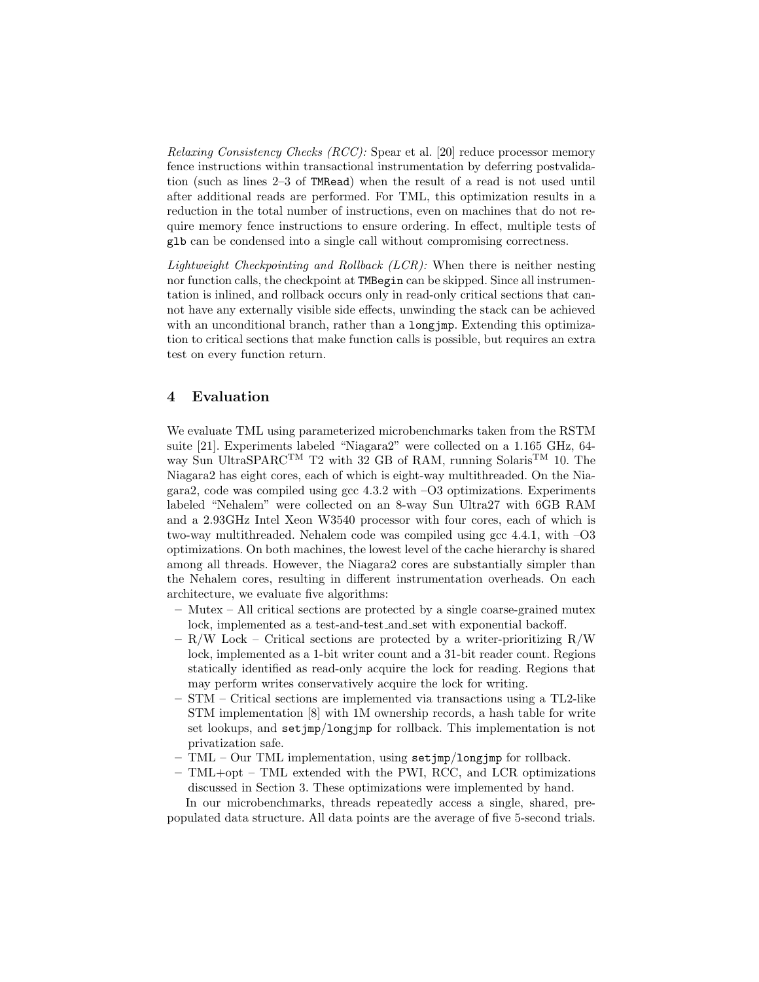Relaxing Consistency Checks (RCC): Spear et al. [20] reduce processor memory fence instructions within transactional instrumentation by deferring postvalidation (such as lines 2–3 of TMRead) when the result of a read is not used until after additional reads are performed. For TML, this optimization results in a reduction in the total number of instructions, even on machines that do not require memory fence instructions to ensure ordering. In effect, multiple tests of glb can be condensed into a single call without compromising correctness.

Lightweight Checkpointing and Rollback (LCR): When there is neither nesting nor function calls, the checkpoint at TMBegin can be skipped. Since all instrumentation is inlined, and rollback occurs only in read-only critical sections that cannot have any externally visible side effects, unwinding the stack can be achieved with an unconditional branch, rather than a long imp. Extending this optimization to critical sections that make function calls is possible, but requires an extra test on every function return.

# 4 Evaluation

We evaluate TML using parameterized microbenchmarks taken from the RSTM suite [21]. Experiments labeled "Niagara2" were collected on a 1.165 GHz, 64 way Sun UltraSPARCTM T2 with 32 GB of RAM, running SolarisTM 10. The Niagara2 has eight cores, each of which is eight-way multithreaded. On the Niagara2, code was compiled using gcc 4.3.2 with –O3 optimizations. Experiments labeled "Nehalem" were collected on an 8-way Sun Ultra27 with 6GB RAM and a 2.93GHz Intel Xeon W3540 processor with four cores, each of which is two-way multithreaded. Nehalem code was compiled using gcc 4.4.1, with –O3 optimizations. On both machines, the lowest level of the cache hierarchy is shared among all threads. However, the Niagara2 cores are substantially simpler than the Nehalem cores, resulting in different instrumentation overheads. On each architecture, we evaluate five algorithms:

- Mutex All critical sections are protected by a single coarse-grained mutex lock, implemented as a test-and-test-and-set with exponential backoff.
- R/W Lock Critical sections are protected by a writer-prioritizing R/W lock, implemented as a 1-bit writer count and a 31-bit reader count. Regions statically identified as read-only acquire the lock for reading. Regions that may perform writes conservatively acquire the lock for writing.
- STM Critical sections are implemented via transactions using a TL2-like STM implementation [8] with 1M ownership records, a hash table for write set lookups, and setjmp/longjmp for rollback. This implementation is not privatization safe.
- TML Our TML implementation, using setjmp/longjmp for rollback.
- TML+opt TML extended with the PWI, RCC, and LCR optimizations discussed in Section 3. These optimizations were implemented by hand.

In our microbenchmarks, threads repeatedly access a single, shared, prepopulated data structure. All data points are the average of five 5-second trials.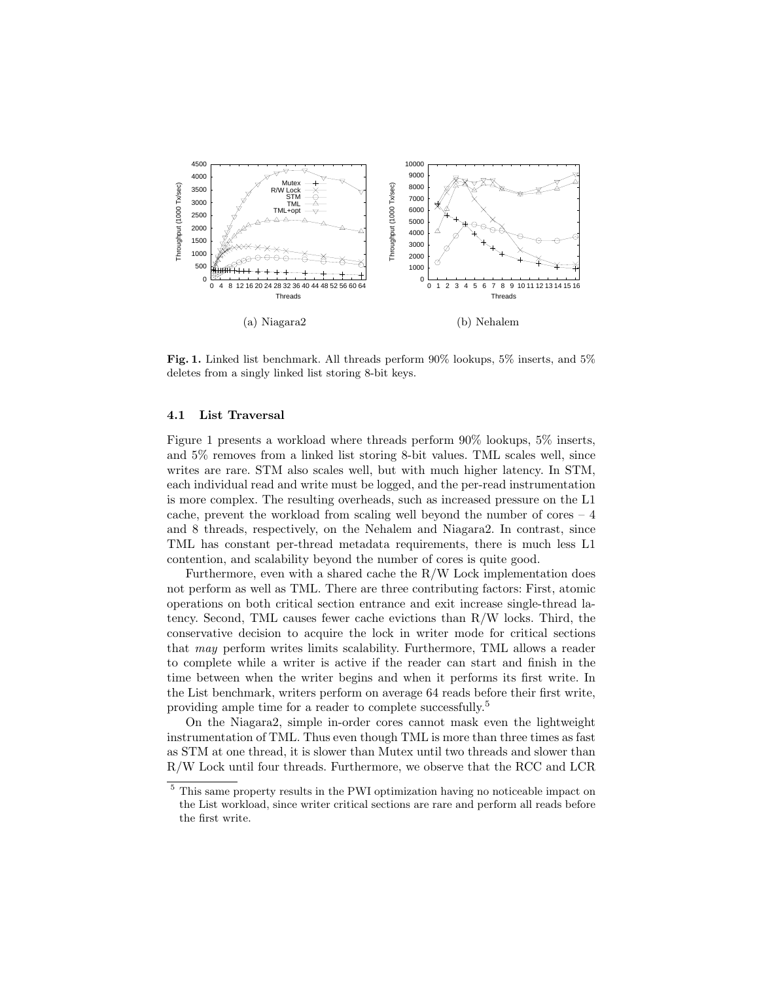

Fig. 1. Linked list benchmark. All threads perform 90% lookups, 5% inserts, and 5% deletes from a singly linked list storing 8-bit keys.

#### 4.1 List Traversal

Figure 1 presents a workload where threads perform 90% lookups, 5% inserts, and 5% removes from a linked list storing 8-bit values. TML scales well, since writes are rare. STM also scales well, but with much higher latency. In STM, each individual read and write must be logged, and the per-read instrumentation is more complex. The resulting overheads, such as increased pressure on the L1 cache, prevent the workload from scaling well beyond the number of cores  $-4$ and 8 threads, respectively, on the Nehalem and Niagara2. In contrast, since TML has constant per-thread metadata requirements, there is much less L1 contention, and scalability beyond the number of cores is quite good.

Furthermore, even with a shared cache the R/W Lock implementation does not perform as well as TML. There are three contributing factors: First, atomic operations on both critical section entrance and exit increase single-thread latency. Second, TML causes fewer cache evictions than R/W locks. Third, the conservative decision to acquire the lock in writer mode for critical sections that may perform writes limits scalability. Furthermore, TML allows a reader to complete while a writer is active if the reader can start and finish in the time between when the writer begins and when it performs its first write. In the List benchmark, writers perform on average 64 reads before their first write, providing ample time for a reader to complete successfully.<sup>5</sup>

On the Niagara2, simple in-order cores cannot mask even the lightweight instrumentation of TML. Thus even though TML is more than three times as fast as STM at one thread, it is slower than Mutex until two threads and slower than R/W Lock until four threads. Furthermore, we observe that the RCC and LCR

<sup>5</sup> This same property results in the PWI optimization having no noticeable impact on the List workload, since writer critical sections are rare and perform all reads before the first write.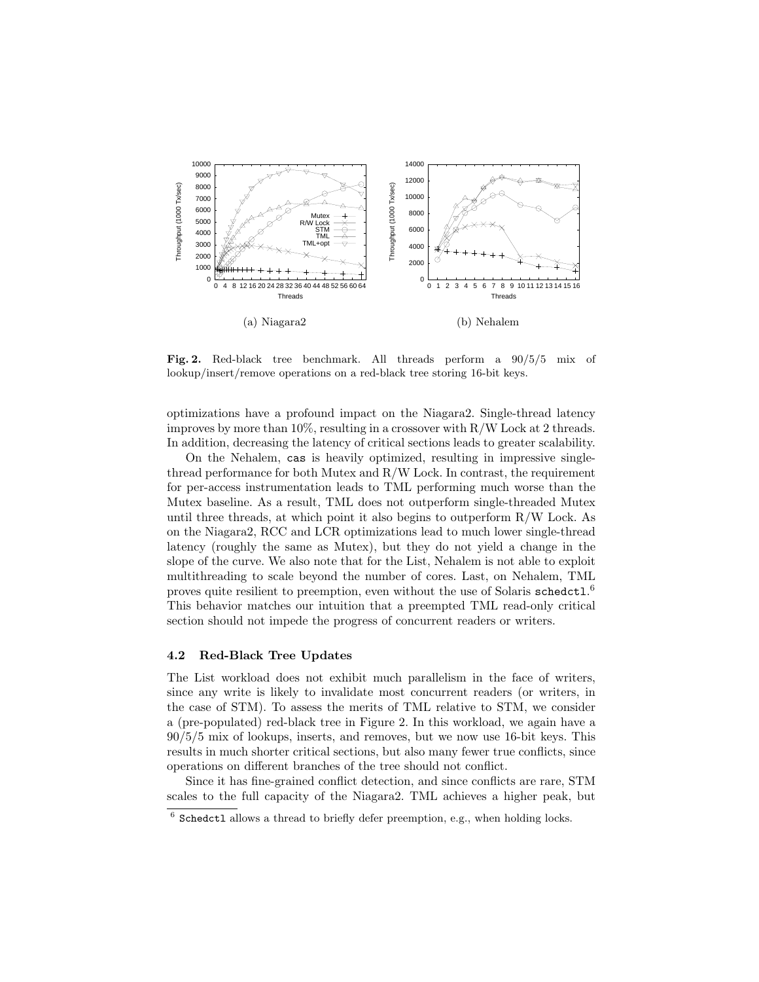

Fig. 2. Red-black tree benchmark. All threads perform a 90/5/5 mix of lookup/insert/remove operations on a red-black tree storing 16-bit keys.

optimizations have a profound impact on the Niagara2. Single-thread latency improves by more than  $10\%$ , resulting in a crossover with  $R/W$  Lock at 2 threads. In addition, decreasing the latency of critical sections leads to greater scalability.

On the Nehalem, cas is heavily optimized, resulting in impressive singlethread performance for both Mutex and R/W Lock. In contrast, the requirement for per-access instrumentation leads to TML performing much worse than the Mutex baseline. As a result, TML does not outperform single-threaded Mutex until three threads, at which point it also begins to outperform  $R/W$  Lock. As on the Niagara2, RCC and LCR optimizations lead to much lower single-thread latency (roughly the same as Mutex), but they do not yield a change in the slope of the curve. We also note that for the List, Nehalem is not able to exploit multithreading to scale beyond the number of cores. Last, on Nehalem, TML proves quite resilient to preemption, even without the use of Solaris schedct1.<sup>6</sup> This behavior matches our intuition that a preempted TML read-only critical section should not impede the progress of concurrent readers or writers.

#### 4.2 Red-Black Tree Updates

The List workload does not exhibit much parallelism in the face of writers, since any write is likely to invalidate most concurrent readers (or writers, in the case of STM). To assess the merits of TML relative to STM, we consider a (pre-populated) red-black tree in Figure 2. In this workload, we again have a 90/5/5 mix of lookups, inserts, and removes, but we now use 16-bit keys. This results in much shorter critical sections, but also many fewer true conflicts, since operations on different branches of the tree should not conflict.

Since it has fine-grained conflict detection, and since conflicts are rare, STM scales to the full capacity of the Niagara2. TML achieves a higher peak, but

 $6$  Schedctl allows a thread to briefly defer preemption, e.g., when holding locks.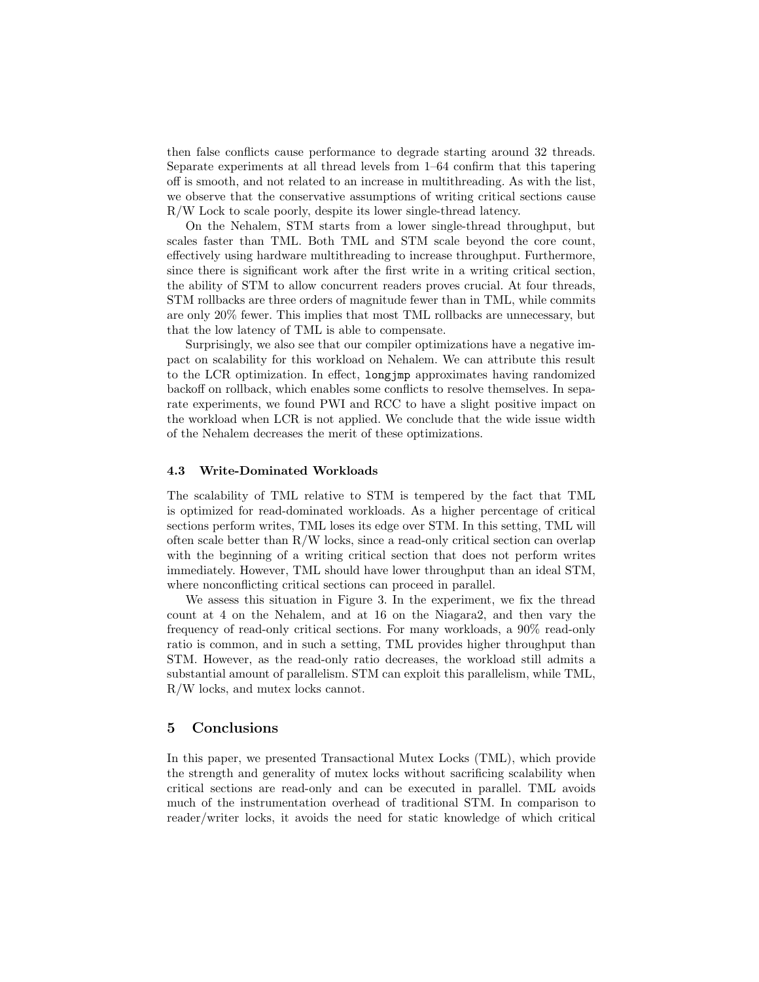then false conflicts cause performance to degrade starting around 32 threads. Separate experiments at all thread levels from 1–64 confirm that this tapering off is smooth, and not related to an increase in multithreading. As with the list, we observe that the conservative assumptions of writing critical sections cause R/W Lock to scale poorly, despite its lower single-thread latency.

On the Nehalem, STM starts from a lower single-thread throughput, but scales faster than TML. Both TML and STM scale beyond the core count, effectively using hardware multithreading to increase throughput. Furthermore, since there is significant work after the first write in a writing critical section, the ability of STM to allow concurrent readers proves crucial. At four threads, STM rollbacks are three orders of magnitude fewer than in TML, while commits are only 20% fewer. This implies that most TML rollbacks are unnecessary, but that the low latency of TML is able to compensate.

Surprisingly, we also see that our compiler optimizations have a negative impact on scalability for this workload on Nehalem. We can attribute this result to the LCR optimization. In effect, longjmp approximates having randomized backoff on rollback, which enables some conflicts to resolve themselves. In separate experiments, we found PWI and RCC to have a slight positive impact on the workload when LCR is not applied. We conclude that the wide issue width of the Nehalem decreases the merit of these optimizations.

#### 4.3 Write-Dominated Workloads

The scalability of TML relative to STM is tempered by the fact that TML is optimized for read-dominated workloads. As a higher percentage of critical sections perform writes, TML loses its edge over STM. In this setting, TML will often scale better than R/W locks, since a read-only critical section can overlap with the beginning of a writing critical section that does not perform writes immediately. However, TML should have lower throughput than an ideal STM, where nonconflicting critical sections can proceed in parallel.

We assess this situation in Figure 3. In the experiment, we fix the thread count at 4 on the Nehalem, and at 16 on the Niagara2, and then vary the frequency of read-only critical sections. For many workloads, a 90% read-only ratio is common, and in such a setting, TML provides higher throughput than STM. However, as the read-only ratio decreases, the workload still admits a substantial amount of parallelism. STM can exploit this parallelism, while TML, R/W locks, and mutex locks cannot.

### 5 Conclusions

In this paper, we presented Transactional Mutex Locks (TML), which provide the strength and generality of mutex locks without sacrificing scalability when critical sections are read-only and can be executed in parallel. TML avoids much of the instrumentation overhead of traditional STM. In comparison to reader/writer locks, it avoids the need for static knowledge of which critical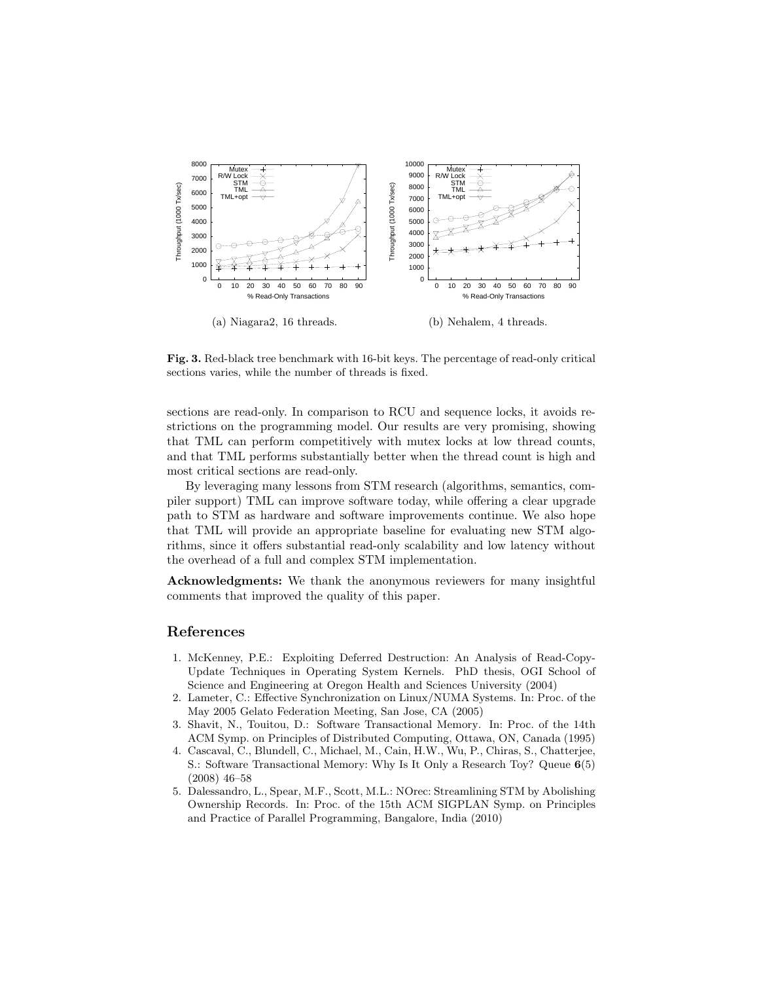

Fig. 3. Red-black tree benchmark with 16-bit keys. The percentage of read-only critical sections varies, while the number of threads is fixed.

sections are read-only. In comparison to RCU and sequence locks, it avoids restrictions on the programming model. Our results are very promising, showing that TML can perform competitively with mutex locks at low thread counts, and that TML performs substantially better when the thread count is high and most critical sections are read-only.

By leveraging many lessons from STM research (algorithms, semantics, compiler support) TML can improve software today, while offering a clear upgrade path to STM as hardware and software improvements continue. We also hope that TML will provide an appropriate baseline for evaluating new STM algorithms, since it offers substantial read-only scalability and low latency without the overhead of a full and complex STM implementation.

Acknowledgments: We thank the anonymous reviewers for many insightful comments that improved the quality of this paper.

# References

- 1. McKenney, P.E.: Exploiting Deferred Destruction: An Analysis of Read-Copy-Update Techniques in Operating System Kernels. PhD thesis, OGI School of Science and Engineering at Oregon Health and Sciences University (2004)
- 2. Lameter, C.: Effective Synchronization on Linux/NUMA Systems. In: Proc. of the May 2005 Gelato Federation Meeting, San Jose, CA (2005)
- 3. Shavit, N., Touitou, D.: Software Transactional Memory. In: Proc. of the 14th ACM Symp. on Principles of Distributed Computing, Ottawa, ON, Canada (1995)
- 4. Cascaval, C., Blundell, C., Michael, M., Cain, H.W., Wu, P., Chiras, S., Chatterjee, S.: Software Transactional Memory: Why Is It Only a Research Toy? Queue 6(5) (2008) 46–58
- 5. Dalessandro, L., Spear, M.F., Scott, M.L.: NOrec: Streamlining STM by Abolishing Ownership Records. In: Proc. of the 15th ACM SIGPLAN Symp. on Principles and Practice of Parallel Programming, Bangalore, India (2010)